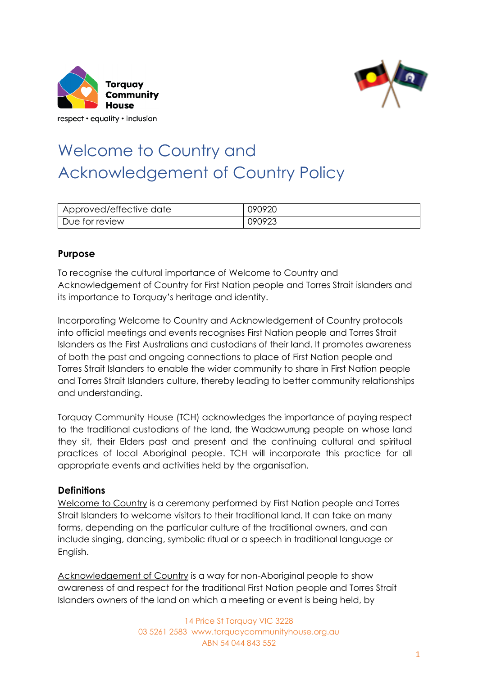



## Welcome to Country and Acknowledgement of Country Policy

| Approved/effective date | 090920 |
|-------------------------|--------|
| Due for review          | 090923 |

## **Purpose**

To recognise the cultural importance of Welcome to Country and Acknowledgement of Country for First Nation people and Torres Strait islanders and its importance to Torquay's heritage and identity.

Incorporating Welcome to Country and Acknowledgement of Country protocols into official meetings and events recognises First Nation people and Torres Strait Islanders as the First Australians and custodians of their land. It promotes awareness of both the past and ongoing connections to place of First Nation people and Torres Strait Islanders to enable the wider community to share in First Nation people and Torres Strait Islanders culture, thereby leading to better community relationships and understanding.

Torquay Community House (TCH) acknowledges the importance of paying respect to the traditional custodians of the land, the Wadawurrung people on whose land they sit, their Elders past and present and the continuing cultural and spiritual practices of local Aboriginal people. TCH will incorporate this practice for all appropriate events and activities held by the organisation.

## **Definitions**

Welcome to Country is a ceremony performed by First Nation people and Torres Strait Islanders to welcome visitors to their traditional land. It can take on many forms, depending on the particular culture of the traditional owners, and can include singing, dancing, symbolic ritual or a speech in traditional language or English.

Acknowledgement of Country is a way for non-Aboriginal people to show awareness of and respect for the traditional First Nation people and Torres Strait Islanders owners of the land on which a meeting or event is being held, by

> 14 Price St Torquay VIC 3228 03 5261 2583 www.torquaycommunityhouse.org.au ABN 54 044 843 552